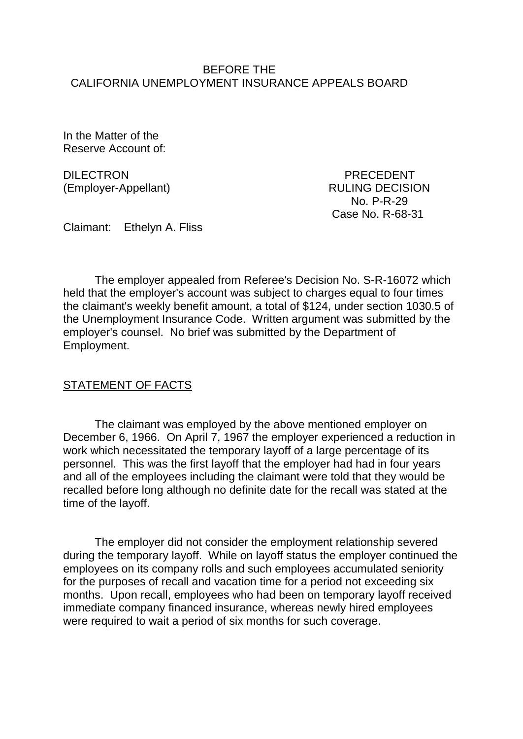### BEFORE THE CALIFORNIA UNEMPLOYMENT INSURANCE APPEALS BOARD

In the Matter of the Reserve Account of:

DILECTRON PRECEDENT (Employer-Appellant) RULING DECISION

 No. P-R-29 Case No. R-68-31

Claimant: Ethelyn A. Fliss

The employer appealed from Referee's Decision No. S-R-16072 which held that the employer's account was subject to charges equal to four times the claimant's weekly benefit amount, a total of \$124, under section 1030.5 of the Unemployment Insurance Code. Written argument was submitted by the employer's counsel. No brief was submitted by the Department of Employment.

### STATEMENT OF FACTS

The claimant was employed by the above mentioned employer on December 6, 1966. On April 7, 1967 the employer experienced a reduction in work which necessitated the temporary layoff of a large percentage of its personnel. This was the first layoff that the employer had had in four years and all of the employees including the claimant were told that they would be recalled before long although no definite date for the recall was stated at the time of the layoff.

The employer did not consider the employment relationship severed during the temporary layoff. While on layoff status the employer continued the employees on its company rolls and such employees accumulated seniority for the purposes of recall and vacation time for a period not exceeding six months. Upon recall, employees who had been on temporary layoff received immediate company financed insurance, whereas newly hired employees were required to wait a period of six months for such coverage.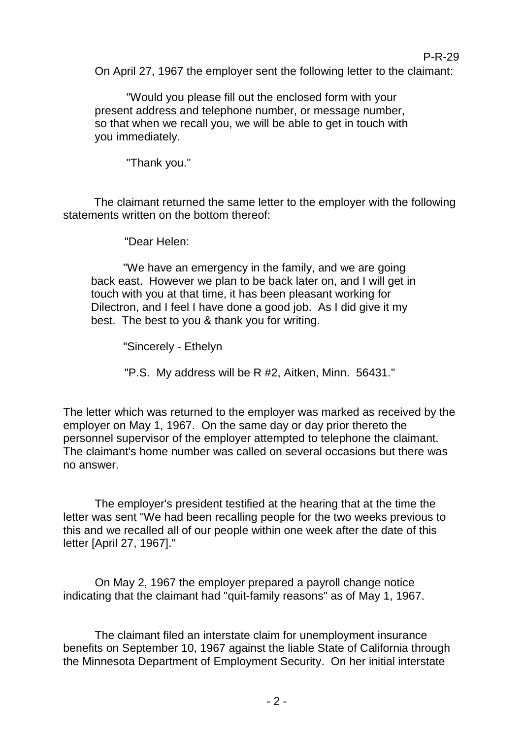On April 27, 1967 the employer sent the following letter to the claimant:

"Would you please fill out the enclosed form with your present address and telephone number, or message number, so that when we recall you, we will be able to get in touch with you immediately.

"Thank you."

The claimant returned the same letter to the employer with the following statements written on the bottom thereof:

"Dear Helen:

"We have an emergency in the family, and we are going back east. However we plan to be back later on, and I will get in touch with you at that time, it has been pleasant working for Dilectron, and I feel I have done a good job. As I did give it my best. The best to you & thank you for writing.

"Sincerely - Ethelyn

"P.S. My address will be R #2, Aitken, Minn. 56431."

The letter which was returned to the employer was marked as received by the employer on May 1, 1967. On the same day or day prior thereto the personnel supervisor of the employer attempted to telephone the claimant. The claimant's home number was called on several occasions but there was no answer.

The employer's president testified at the hearing that at the time the letter was sent "We had been recalling people for the two weeks previous to this and we recalled all of our people within one week after the date of this letter [April 27, 1967]."

On May 2, 1967 the employer prepared a payroll change notice indicating that the claimant had "quit-family reasons" as of May 1, 1967.

The claimant filed an interstate claim for unemployment insurance benefits on September 10, 1967 against the liable State of California through the Minnesota Department of Employment Security. On her initial interstate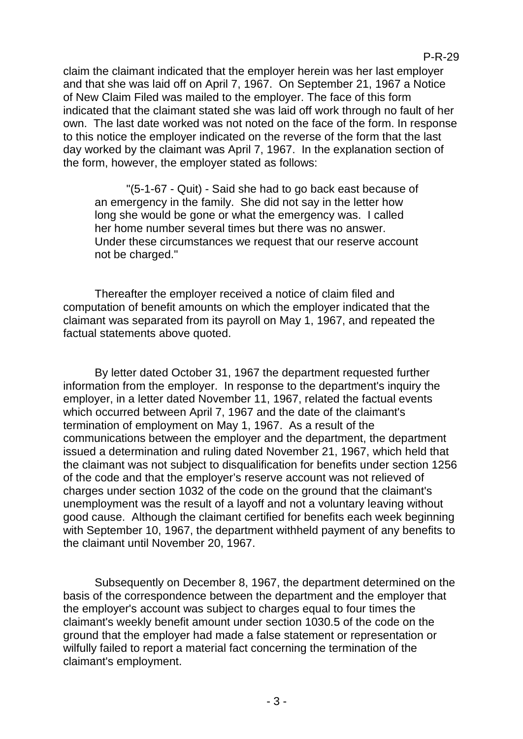claim the claimant indicated that the employer herein was her last employer and that she was laid off on April 7, 1967. On September 21, 1967 a Notice of New Claim Filed was mailed to the employer. The face of this form indicated that the claimant stated she was laid off work through no fault of her own. The last date worked was not noted on the face of the form. In response to this notice the employer indicated on the reverse of the form that the last day worked by the claimant was April 7, 1967. In the explanation section of the form, however, the employer stated as follows:

"(5-1-67 - Quit) - Said she had to go back east because of an emergency in the family. She did not say in the letter how long she would be gone or what the emergency was. I called her home number several times but there was no answer. Under these circumstances we request that our reserve account not be charged."

Thereafter the employer received a notice of claim filed and computation of benefit amounts on which the employer indicated that the claimant was separated from its payroll on May 1, 1967, and repeated the factual statements above quoted.

By letter dated October 31, 1967 the department requested further information from the employer. In response to the department's inquiry the employer, in a letter dated November 11, 1967, related the factual events which occurred between April 7, 1967 and the date of the claimant's termination of employment on May 1, 1967. As a result of the communications between the employer and the department, the department issued a determination and ruling dated November 21, 1967, which held that the claimant was not subject to disqualification for benefits under section 1256 of the code and that the employer's reserve account was not relieved of charges under section 1032 of the code on the ground that the claimant's unemployment was the result of a layoff and not a voluntary leaving without good cause. Although the claimant certified for benefits each week beginning with September 10, 1967, the department withheld payment of any benefits to the claimant until November 20, 1967.

Subsequently on December 8, 1967, the department determined on the basis of the correspondence between the department and the employer that the employer's account was subject to charges equal to four times the claimant's weekly benefit amount under section 1030.5 of the code on the ground that the employer had made a false statement or representation or wilfully failed to report a material fact concerning the termination of the claimant's employment.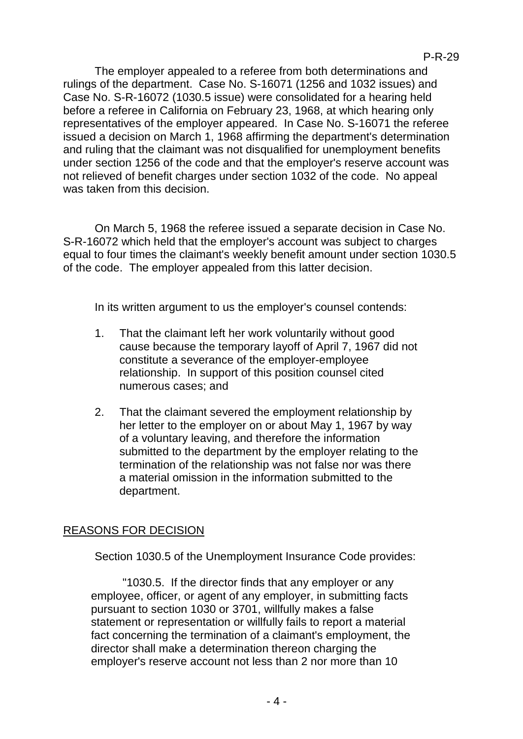The employer appealed to a referee from both determinations and rulings of the department. Case No. S-16071 (1256 and 1032 issues) and Case No. S-R-16072 (1030.5 issue) were consolidated for a hearing held before a referee in California on February 23, 1968, at which hearing only representatives of the employer appeared. In Case No. S-16071 the referee issued a decision on March 1, 1968 affirming the department's determination and ruling that the claimant was not disqualified for unemployment benefits under section 1256 of the code and that the employer's reserve account was not relieved of benefit charges under section 1032 of the code. No appeal was taken from this decision.

On March 5, 1968 the referee issued a separate decision in Case No. S-R-16072 which held that the employer's account was subject to charges equal to four times the claimant's weekly benefit amount under section 1030.5 of the code. The employer appealed from this latter decision.

In its written argument to us the employer's counsel contends:

- 1. That the claimant left her work voluntarily without good cause because the temporary layoff of April 7, 1967 did not constitute a severance of the employer-employee relationship. In support of this position counsel cited numerous cases; and
- 2. That the claimant severed the employment relationship by her letter to the employer on or about May 1, 1967 by way of a voluntary leaving, and therefore the information submitted to the department by the employer relating to the termination of the relationship was not false nor was there a material omission in the information submitted to the department.

# REASONS FOR DECISION

Section 1030.5 of the Unemployment Insurance Code provides:

"1030.5. If the director finds that any employer or any employee, officer, or agent of any employer, in submitting facts pursuant to section 1030 or 3701, willfully makes a false statement or representation or willfully fails to report a material fact concerning the termination of a claimant's employment, the director shall make a determination thereon charging the employer's reserve account not less than 2 nor more than 10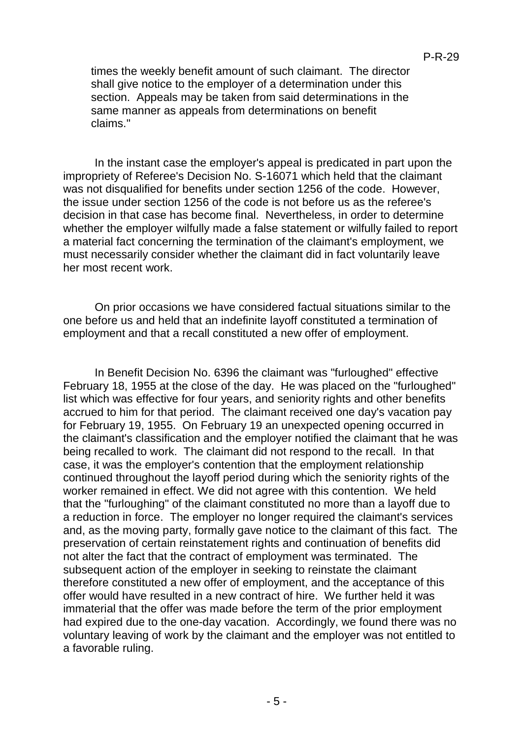times the weekly benefit amount of such claimant. The director shall give notice to the employer of a determination under this section. Appeals may be taken from said determinations in the same manner as appeals from determinations on benefit claims."

In the instant case the employer's appeal is predicated in part upon the impropriety of Referee's Decision No. S-16071 which held that the claimant was not disqualified for benefits under section 1256 of the code. However, the issue under section 1256 of the code is not before us as the referee's decision in that case has become final. Nevertheless, in order to determine whether the employer wilfully made a false statement or wilfully failed to report a material fact concerning the termination of the claimant's employment, we must necessarily consider whether the claimant did in fact voluntarily leave her most recent work.

On prior occasions we have considered factual situations similar to the one before us and held that an indefinite layoff constituted a termination of employment and that a recall constituted a new offer of employment.

In Benefit Decision No. 6396 the claimant was "furloughed" effective February 18, 1955 at the close of the day. He was placed on the "furloughed" list which was effective for four years, and seniority rights and other benefits accrued to him for that period. The claimant received one day's vacation pay for February 19, 1955. On February 19 an unexpected opening occurred in the claimant's classification and the employer notified the claimant that he was being recalled to work. The claimant did not respond to the recall. In that case, it was the employer's contention that the employment relationship continued throughout the layoff period during which the seniority rights of the worker remained in effect. We did not agree with this contention. We held that the "furloughing" of the claimant constituted no more than a layoff due to a reduction in force. The employer no longer required the claimant's services and, as the moving party, formally gave notice to the claimant of this fact. The preservation of certain reinstatement rights and continuation of benefits did not alter the fact that the contract of employment was terminated. The subsequent action of the employer in seeking to reinstate the claimant therefore constituted a new offer of employment, and the acceptance of this offer would have resulted in a new contract of hire. We further held it was immaterial that the offer was made before the term of the prior employment had expired due to the one-day vacation. Accordingly, we found there was no voluntary leaving of work by the claimant and the employer was not entitled to a favorable ruling.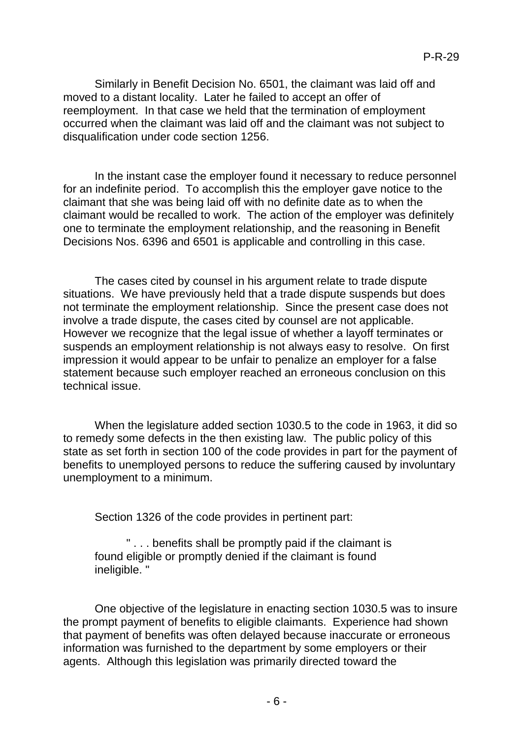Similarly in Benefit Decision No. 6501, the claimant was laid off and moved to a distant locality. Later he failed to accept an offer of reemployment. In that case we held that the termination of employment occurred when the claimant was laid off and the claimant was not subject to disqualification under code section 1256.

In the instant case the employer found it necessary to reduce personnel for an indefinite period. To accomplish this the employer gave notice to the claimant that she was being laid off with no definite date as to when the claimant would be recalled to work. The action of the employer was definitely one to terminate the employment relationship, and the reasoning in Benefit Decisions Nos. 6396 and 6501 is applicable and controlling in this case.

The cases cited by counsel in his argument relate to trade dispute situations. We have previously held that a trade dispute suspends but does not terminate the employment relationship. Since the present case does not involve a trade dispute, the cases cited by counsel are not applicable. However we recognize that the legal issue of whether a layoff terminates or suspends an employment relationship is not always easy to resolve. On first impression it would appear to be unfair to penalize an employer for a false statement because such employer reached an erroneous conclusion on this technical issue.

When the legislature added section 1030.5 to the code in 1963, it did so to remedy some defects in the then existing law. The public policy of this state as set forth in section 100 of the code provides in part for the payment of benefits to unemployed persons to reduce the suffering caused by involuntary unemployment to a minimum.

Section 1326 of the code provides in pertinent part:

" . . . benefits shall be promptly paid if the claimant is found eligible or promptly denied if the claimant is found ineligible. "

One objective of the legislature in enacting section 1030.5 was to insure the prompt payment of benefits to eligible claimants. Experience had shown that payment of benefits was often delayed because inaccurate or erroneous information was furnished to the department by some employers or their agents. Although this legislation was primarily directed toward the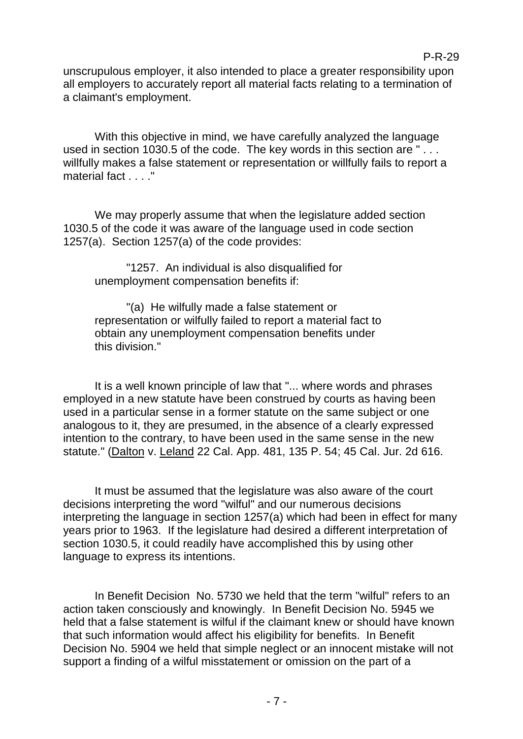P-R-29

unscrupulous employer, it also intended to place a greater responsibility upon all employers to accurately report all material facts relating to a termination of a claimant's employment.

With this objective in mind, we have carefully analyzed the language used in section 1030.5 of the code. The key words in this section are "... willfully makes a false statement or representation or willfully fails to report a material fact . . . ."

We may properly assume that when the legislature added section 1030.5 of the code it was aware of the language used in code section 1257(a). Section 1257(a) of the code provides:

"1257. An individual is also disqualified for unemployment compensation benefits if:

"(a) He wilfully made a false statement or representation or wilfully failed to report a material fact to obtain any unemployment compensation benefits under this division."

It is a well known principle of law that "... where words and phrases employed in a new statute have been construed by courts as having been used in a particular sense in a former statute on the same subject or one analogous to it, they are presumed, in the absence of a clearly expressed intention to the contrary, to have been used in the same sense in the new statute." (Dalton v. Leland 22 Cal. App. 481, 135 P. 54; 45 Cal. Jur. 2d 616.

It must be assumed that the legislature was also aware of the court decisions interpreting the word "wilful" and our numerous decisions interpreting the language in section 1257(a) which had been in effect for many years prior to 1963. If the legislature had desired a different interpretation of section 1030.5, it could readily have accomplished this by using other language to express its intentions.

In Benefit Decision No. 5730 we held that the term "wilful" refers to an action taken consciously and knowingly. In Benefit Decision No. 5945 we held that a false statement is wilful if the claimant knew or should have known that such information would affect his eligibility for benefits. In Benefit Decision No. 5904 we held that simple neglect or an innocent mistake will not support a finding of a wilful misstatement or omission on the part of a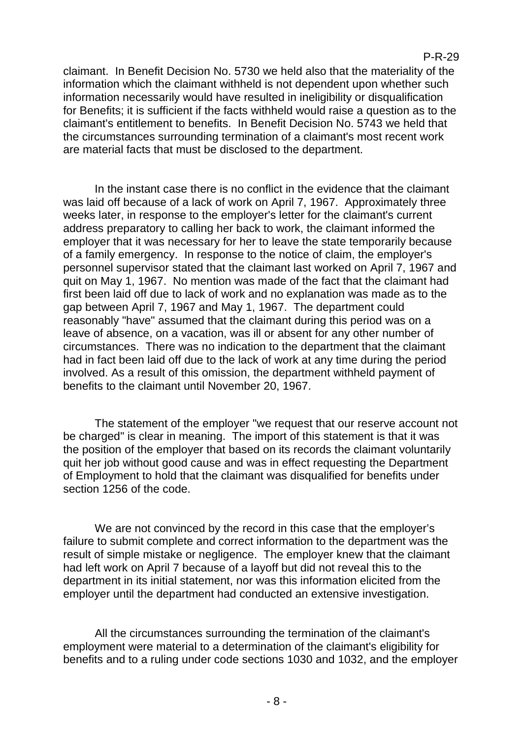claimant. In Benefit Decision No. 5730 we held also that the materiality of the information which the claimant withheld is not dependent upon whether such information necessarily would have resulted in ineligibility or disqualification for Benefits; it is sufficient if the facts withheld would raise a question as to the claimant's entitlement to benefits. In Benefit Decision No. 5743 we held that the circumstances surrounding termination of a claimant's most recent work are material facts that must be disclosed to the department.

In the instant case there is no conflict in the evidence that the claimant was laid off because of a lack of work on April 7, 1967. Approximately three weeks later, in response to the employer's letter for the claimant's current address preparatory to calling her back to work, the claimant informed the employer that it was necessary for her to leave the state temporarily because of a family emergency. In response to the notice of claim, the employer's personnel supervisor stated that the claimant last worked on April 7, 1967 and quit on May 1, 1967. No mention was made of the fact that the claimant had first been laid off due to lack of work and no explanation was made as to the gap between April 7, 1967 and May 1, 1967. The department could reasonably "have" assumed that the claimant during this period was on a leave of absence, on a vacation, was ill or absent for any other number of circumstances. There was no indication to the department that the claimant had in fact been laid off due to the lack of work at any time during the period involved. As a result of this omission, the department withheld payment of benefits to the claimant until November 20, 1967.

The statement of the employer "we request that our reserve account not be charged" is clear in meaning. The import of this statement is that it was the position of the employer that based on its records the claimant voluntarily quit her job without good cause and was in effect requesting the Department of Employment to hold that the claimant was disqualified for benefits under section 1256 of the code.

We are not convinced by the record in this case that the employer's failure to submit complete and correct information to the department was the result of simple mistake or negligence. The employer knew that the claimant had left work on April 7 because of a layoff but did not reveal this to the department in its initial statement, nor was this information elicited from the employer until the department had conducted an extensive investigation.

All the circumstances surrounding the termination of the claimant's employment were material to a determination of the claimant's eligibility for benefits and to a ruling under code sections 1030 and 1032, and the employer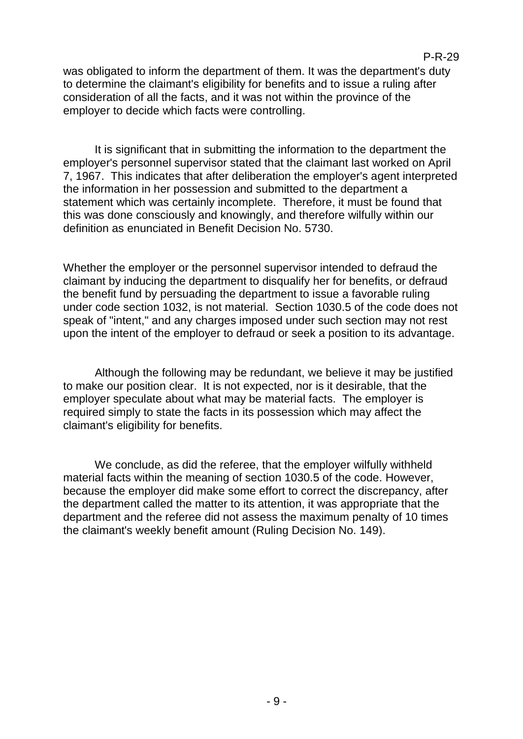was obligated to inform the department of them. It was the department's duty to determine the claimant's eligibility for benefits and to issue a ruling after consideration of all the facts, and it was not within the province of the employer to decide which facts were controlling.

It is significant that in submitting the information to the department the employer's personnel supervisor stated that the claimant last worked on April 7, 1967. This indicates that after deliberation the employer's agent interpreted the information in her possession and submitted to the department a statement which was certainly incomplete. Therefore, it must be found that this was done consciously and knowingly, and therefore wilfully within our definition as enunciated in Benefit Decision No. 5730.

Whether the employer or the personnel supervisor intended to defraud the claimant by inducing the department to disqualify her for benefits, or defraud the benefit fund by persuading the department to issue a favorable ruling under code section 1032, is not material. Section 1030.5 of the code does not speak of "intent," and any charges imposed under such section may not rest upon the intent of the employer to defraud or seek a position to its advantage.

Although the following may be redundant, we believe it may be justified to make our position clear. It is not expected, nor is it desirable, that the employer speculate about what may be material facts. The employer is required simply to state the facts in its possession which may affect the claimant's eligibility for benefits.

We conclude, as did the referee, that the employer wilfully withheld material facts within the meaning of section 1030.5 of the code. However, because the employer did make some effort to correct the discrepancy, after the department called the matter to its attention, it was appropriate that the department and the referee did not assess the maximum penalty of 10 times the claimant's weekly benefit amount (Ruling Decision No. 149).